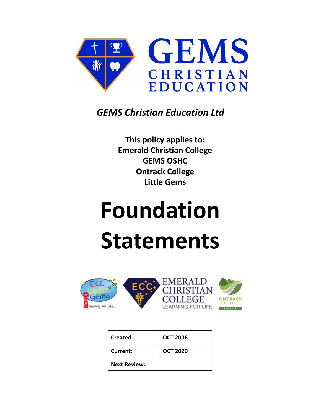

# *GEMS Christian Education Ltd*

**This policy applies to: Emerald Christian College GEMS OSHC Ontrack College Little Gems**

# **Foundation Statements**



| Created             | <b>OCT 2006</b> |
|---------------------|-----------------|
| Current:            | <b>OCT 2020</b> |
| <b>Next Review:</b> |                 |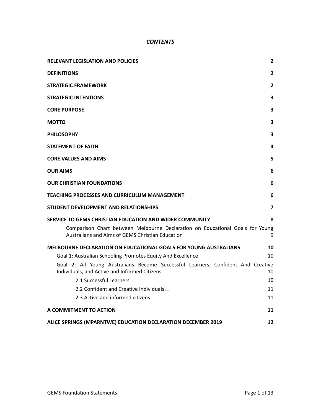# *CONTENTS*

| <b>RELEVANT LEGISLATION AND POLICIES</b>                                                                                                                                                     | $\mathbf{2}$            |
|----------------------------------------------------------------------------------------------------------------------------------------------------------------------------------------------|-------------------------|
| <b>DEFINITIONS</b>                                                                                                                                                                           | $\overline{2}$          |
| <b>STRATEGIC FRAMEWORK</b>                                                                                                                                                                   | $\overline{2}$          |
| <b>STRATEGIC INTENTIONS</b>                                                                                                                                                                  | 3                       |
| <b>CORE PURPOSE</b>                                                                                                                                                                          | 3                       |
| <b>MOTTO</b>                                                                                                                                                                                 | 3                       |
| <b>PHILOSOPHY</b>                                                                                                                                                                            | 3                       |
| <b>STATEMENT OF FAITH</b>                                                                                                                                                                    | 4                       |
| <b>CORE VALUES AND AIMS</b>                                                                                                                                                                  | 5                       |
| <b>OUR AIMS</b>                                                                                                                                                                              | 6                       |
| <b>OUR CHRISTIAN FOUNDATIONS</b>                                                                                                                                                             | 6                       |
| <b>TEACHING PROCESSES AND CURRICULUM MANAGEMENT</b>                                                                                                                                          | 6                       |
| STUDENT DEVELOPMENT AND RELATIONSHIPS                                                                                                                                                        | $\overline{\mathbf{z}}$ |
| SERVICE TO GEMS CHRISTIAN EDUCATION AND WIDER COMMUNITY<br>Comparison Chart between Melbourne Declaration on Educational Goals for Young<br>Australians and Aims of GEMS Christian Education | 8<br>9                  |
| <b>MELBOURNE DECLARATION ON EDUCATIONAL GOALS FOR YOUNG AUSTRALIANS</b>                                                                                                                      | 10                      |
| Goal 1: Australian Schooling Promotes Equity And Excellence                                                                                                                                  | 10                      |
| Goal 2: All Young Australians Become Successful Learners, Confident And Creative<br>Individuals, and Active and Informed Citizens                                                            | 10                      |
| 2.1 Successful Learners                                                                                                                                                                      | 10                      |
| 2.2 Confident and Creative Individuals                                                                                                                                                       | 11                      |
| 2.3 Active and informed citizens                                                                                                                                                             | 11                      |
| A COMMITMENT TO ACTION                                                                                                                                                                       | 11                      |
| ALICE SPRINGS (MPARNTWE) EDUCATION DECLARATION DECEMBER 2019                                                                                                                                 | 12                      |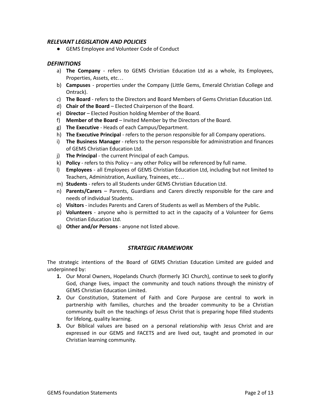#### <span id="page-2-0"></span>*RELEVANT LEGISLATION AND POLICIES*

● GEMS Employee and Volunteer Code of Conduct

### <span id="page-2-1"></span>*DEFINITIONS*

- a) **The Company** refers to GEMS Christian Education Ltd as a whole, its Employees, Properties, Assets, etc…
- b) **Campuses** properties under the Company (Little Gems, Emerald Christian College and Ontrack).
- c) **The Board** refers to the Directors and Board Members of Gems Christian Education Ltd.
- d) **Chair of the Board** Elected Chairperson of the Board.
- e) **Director** Elected Position holding Member of the Board.
- f) **Member of the Board** Invited Member by the Directors of the Board.
- g) **The Executive** Heads of each Campus/Department.
- h) **The Executive Principal** refers to the person responsible for all Company operations.
- i) **The Business Manager** refers to the person responsible for administration and finances of GEMS Christian Education Ltd.
- j) **The Principal** the current Principal of each Campus.
- k) **Policy** refers to this Policy any other Policy will be referenced by full name.
- l) **Employees** all Employees of GEMS Christian Education Ltd, including but not limited to Teachers, Administration, Auxiliary, Trainees, etc…
- m) **Students** refers to all Students under GEMS Christian Education Ltd.
- n) **Parents/Carers** Parents, Guardians and Carers directly responsible for the care and needs of individual Students.
- o) **Visitors** includes Parents and Carers of Students as well as Members of the Public.
- p) **Volunteers** anyone who is permitted to act in the capacity of a Volunteer for Gems Christian Education Ltd.
- q) **Other and/or Persons** anyone not listed above.

# *STRATEGIC FRAMEWORK*

<span id="page-2-2"></span>The strategic intentions of the Board of GEMS Christian Education Limited are guided and underpinned by:

- **1.** Our Moral Owners, Hopelands Church (formerly 3CI Church), continue to seek to glorify God, change lives, impact the community and touch nations through the ministry of GEMS Christian Education Limited.
- **2.** Our Constitution, Statement of Faith and Core Purpose are central to work in partnership with families, churches and the broader community to be a Christian community built on the teachings of Jesus Christ that is preparing hope filled students for lifelong, quality learning.
- **3.** Our Biblical values are based on a personal relationship with Jesus Christ and are expressed in our GEMS and FACETS and are lived out, taught and promoted in our Christian learning community.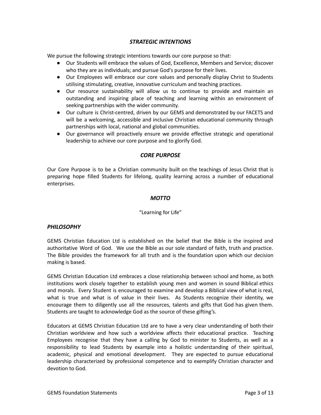# *STRATEGIC INTENTIONS*

<span id="page-3-0"></span>We pursue the following strategic intentions towards our core purpose so that:

- Our Students will embrace the values of God, Excellence, Members and Service; discover who they are as individuals; and pursue God's purpose for their lives.
- Our Employees will embrace our core values and personally display Christ to Students utilising stimulating, creative, innovative curriculum and teaching practices.
- Our resource sustainability will allow us to continue to provide and maintain an outstanding and inspiring place of teaching and learning within an environment of seeking partnerships with the wider community.
- Our culture is Christ-centred, driven by our GEMS and demonstrated by our FACETS and will be a welcoming, accessible and inclusive Christian educational community through partnerships with local, national and global communities.
- Our governance will proactively ensure we provide effective strategic and operational leadership to achieve our core purpose and to glorify God.

#### *CORE PURPOSE*

<span id="page-3-2"></span><span id="page-3-1"></span>Our Core Purpose is to be a Christian community built on the teachings of Jesus Christ that is preparing hope filled Students for lifelong, quality learning across a number of educational enterprises.

#### *MOTTO*

#### "Learning for Life"

#### <span id="page-3-3"></span>*PHILOSOPHY*

GEMS Christian Education Ltd is established on the belief that the Bible is the inspired and authoritative Word of God. We use the Bible as our sole standard of faith, truth and practice. The Bible provides the framework for all truth and is the foundation upon which our decision making is based.

GEMS Christian Education Ltd embraces a close relationship between school and home, as both institutions work closely together to establish young men and women in sound Biblical ethics and morals. Every Student is encouraged to examine and develop a Biblical view of what is real, what is true and what is of value in their lives. As Students recognize their identity, we encourage them to diligently use all the resources, talents and gifts that God has given them. Students are taught to acknowledge God as the source of these gifting's.

Educators at GEMS Christian Education Ltd are to have a very clear understanding of both their Christian worldview and how such a worldview affects their educational practice. Teaching Employees recognise that they have a calling by God to minister to Students, as well as a responsibility to lead Students by example into a holistic understanding of their spiritual, academic, physical and emotional development. They are expected to pursue educational leadership characterized by professional competence and to exemplify Christian character and devotion to God.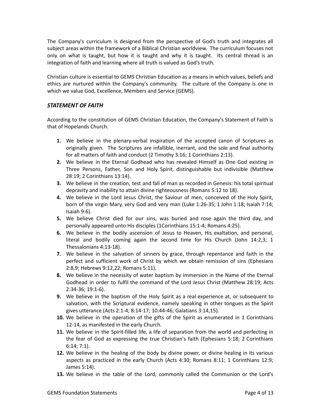The Company's curriculum is designed from the perspective of God's truth and integrates all subject areas within the framework of a Biblical Christian worldview. The curriculum focuses not only on what is taught, but how it is taught and why it is taught. Its central thread is an integration of faith and learning where all truth is valued as God's truth.

Christian culture is essential to GEMS Christian Education as a means in which values, beliefs and ethics are nurtured within the Company's community. The culture of the Company is one in which we value God, Excellence, Members and Service (GEMS).

# <span id="page-4-0"></span>*STATEMENT OF FAITH*

According to the constitution of GEMS Christian Education, the Company's Statement of Faith is that of Hopelands Church.

- **1.** We believe in the plenary-verbal inspiration of the accepted canon of Scriptures as originally given. The Scriptures are infallible, inerrant, and the sole and final authority for all matters of faith and conduct (2 Timothy 3:16; 1 Corinthians 2:13).
- **2.** We believe in the Eternal Godhead who has revealed Himself as One God existing in Three Persons, Father, Son and Holy Spirit, distinguishable but indivisible (Matthew 28:19; 2 Corinthians 13:14).
- **3.** We believe in the creation, test and fall of man as recorded in Genesis: his total spiritual depravity and inability to attain divine righteousness (Romans 5:12 to 18).
- **4.** We believe in the Lord Jesus Christ, the Saviour of men, conceived of the Holy Spirit, born of the virgin Mary, very God and very man (Luke 1:26-35; 1 John 1:18; Isaiah 7:14; Isaiah 9:6).
- **5.** We believe Christ died for our sins, was buried and rose again the third day, and personally appeared unto His disciples (1Corinthians 15:1-4; Romans 4:25).
- **6.** We believe in the bodily ascension of Jesus to Heaven, His exaltation, and personal, literal and bodily coming again the second time for His Church (John 14:2,3; 1 Thessalonians 4:13-18).
- **7.** We believe in the salvation of sinners by grace, through repentance and faith in the perfect and sufficient work of Christ by which we obtain remission of sins (Ephesians 2:8,9; Hebrews 9:12,22; Romans 5:11).
- **8.** We believe in the necessity of water baptism by immersion in the Name of the Eternal Godhead in order to fulfil the command of the Lord Jesus Christ (Matthew 28:19; Acts 2:34-36; 19:1-6).
- **9.** We believe in the baptism of the Holy Spirit as a real experience at, or subsequent to salvation, with the Scriptural evidence, namely speaking in other tongues as the Spirit gives utterance (Acts 2:1-4; 8:14-17; 10:44-46; Galatians 3:14,15).
- **10.** We believe in the operation of the gifts of the Spirit as enumerated in 1 Corinthians 12-14, as manifested in the early Church.
- **11.** We believe in the Spirit-filled life, a life of separation from the world and perfecting in the fear of God as expressing the true Christian's faith (Ephesians 5:18; 2 Corinthians 6:14; 7:1).
- **12.** We believe in the healing of the body by divine power, or divine healing in its various aspects as practiced in the early Church (Acts 4:30; Romans 8:11; 1 Corinthians 12:9; James 5:14).
- **13.** We believe in the table of the Lord, commonly called the Communion or the Lord's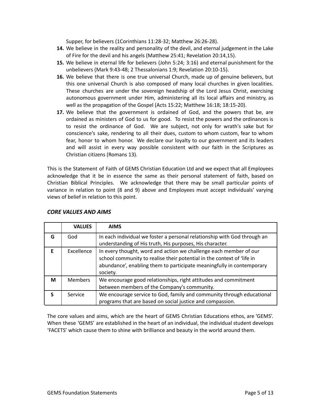Supper, for believers (1Corinthians 11:28-32; Matthew 26:26-28).

- **14.** We believe in the reality and personality of the devil, and eternal judgement in the Lake of Fire for the devil and his angels (Matthew 25:41; Revelation 20:14,15).
- **15.** We believe in eternal life for believers (John 5:24; 3:16) and eternal punishment for the unbelievers (Mark 9:43-48; 2 Thessalonians 1:9; Revelation 20:10-15).
- **16.** We believe that there is one true universal Church, made up of genuine believers, but this one universal Church is also composed of many local churches in given localities. These churches are under the sovereign headship of the Lord Jesus Christ, exercising autonomous government under Him, administering all its local affairs and ministry, as well as the propagation of the Gospel (Acts 15:22; Matthew 16:18; 18:15-20).
- **17.** We believe that the government is ordained of God, and the powers that be, are ordained as ministers of God to us for good. To resist the powers and the ordinances is to resist the ordinance of God. We are subject, not only for wrath's sake but for conscience's sake, rendering to all their dues, custom to whom custom, fear to whom fear, honor to whom honor. We declare our loyalty to our government and its leaders and will assist in every way possible consistent with our faith in the Scriptures as Christian citizens (Romans 13).

This is the Statement of Faith of GEMS Christian Education Ltd and we expect that all Employees acknowledge that it be in essence the same as their personal statement of faith, based on Christian Biblical Principles. We acknowledge that there may be small particular points of variance in relation to point (8 and 9) above and Employees must accept individuals' varying views of belief in relation to this point.

|          | <b>VALUES</b>  | <b>AIMS</b>                                                                                                                                                                                                                      |
|----------|----------------|----------------------------------------------------------------------------------------------------------------------------------------------------------------------------------------------------------------------------------|
| G        | God            | In each individual we foster a personal relationship with God through an<br>understanding of His truth, His purposes, His character.                                                                                             |
| F        | Excellence     | In every thought, word and action we challenge each member of our<br>school community to realise their potential in the context of 'life in<br>abundance', enabling them to participate meaningfully in contemporary<br>society. |
| M        | <b>Members</b> | We encourage good relationships, right attitudes and commitment<br>between members of the Company's community.                                                                                                                   |
| <b>S</b> | Service        | We encourage service to God, family and community through educational<br>programs that are based on social justice and compassion.                                                                                               |

# <span id="page-5-0"></span>*CORE VALUES AND AIMS*

The core values and aims, which are the heart of GEMS Christian Educations ethos, are 'GEMS'. When these 'GEMS' are established in the heart of an individual, the individual student develops 'FACETS' which cause them to shine with brilliance and beauty in the world around them.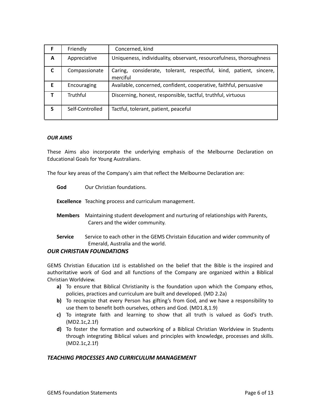| F | Friendly        | Concerned, kind                                                                   |  |  |  |  |  |  |  |  |  |  |  |
|---|-----------------|-----------------------------------------------------------------------------------|--|--|--|--|--|--|--|--|--|--|--|
| A | Appreciative    | Uniqueness, individuality, observant, resourcefulness, thoroughness               |  |  |  |  |  |  |  |  |  |  |  |
| C | Compassionate   | considerate, tolerant, respectful, kind, patient, sincere,<br>Caring,<br>merciful |  |  |  |  |  |  |  |  |  |  |  |
| Е | Encouraging     | Available, concerned, confident, cooperative, faithful, persuasive                |  |  |  |  |  |  |  |  |  |  |  |
|   | Truthful        | Discerning, honest, responsible, tactful, truthful, virtuous                      |  |  |  |  |  |  |  |  |  |  |  |
| S | Self-Controlled | Tactful, tolerant, patient, peaceful                                              |  |  |  |  |  |  |  |  |  |  |  |

#### <span id="page-6-0"></span>*OUR AIMS*

These Aims also incorporate the underlying emphasis of the Melbourne Declaration on Educational Goals for Young Australians.

The four key areas of the Company's aim that reflect the Melbourne Declaration are:

- **God** Our Christian foundations.
- **Excellence** Teaching process and curriculum management.
- **Members** Maintaining student development and nurturing of relationships with Parents, Carers and the wider community.
- **Service** Service to each other in the GEMS Christain Education and wider community of Emerald, Australia and the world.

#### <span id="page-6-1"></span>*OUR CHRISTIAN FOUNDATIONS*

GEMS Christian Education Ltd is established on the belief that the Bible is the inspired and authoritative work of God and all functions of the Company are organized within a Biblical Christian Worldview.

- **a)** To ensure that Biblical Christianity is the foundation upon which the Company ethos, policies, practices and curriculum are built and developed. (MD 2.2a)
- **b)** To recognize that every Person has gifting's from God, and we have a responsibility to use them to benefit both ourselves, others and God. (MD1.8,1.9)
- **c)** To integrate faith and learning to show that all truth is valued as God's truth. (MD2.1c,2.1f)
- **d)** To foster the formation and outworking of a Biblical Christian Worldview in Students through integrating Biblical values and principles with knowledge, processes and skills. (MD2.1c,2.1f)

#### <span id="page-6-2"></span>*TEACHING PROCESSES AND CURRICULUM MANAGEMENT*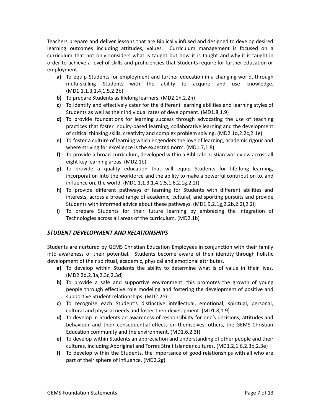Teachers prepare and deliver lessons that are Biblically infused and designed to develop desired learning outcomes including attitudes, values. Curriculum management is focused on a curriculum that not only considers what is taught but how it is taught and why it is taught in order to achieve a level of skills and proficiencies that Students require for further education or employment.

- **a)** To equip Students for employment and further education in a changing world, through multi-skilling Students with the ability to acquire and use knowledge. (MD1.1,1.3,1.4,1.5,2.2b)
- **b)** To prepare Students as lifelong learners. (MD2.1h,2.2h)
- **c)** To identify and effectively cater for the different learning abilities and learning styles of Students as well as their individual rates of development. (MD1.8,1.9)
- **d)** To provide foundations for learning success through advocating the use of teaching practices that foster inquiry-based learning, collaborative learning and the development of critical thinking skills, creativity and complex problem solving. (MD2.1d,2.2c,2.1e)
- **e)** To foster a culture of learning which engenders the love of learning, academic rigour and where striving for excellence is the expected norm. (MD1.7,1.8)
- **f)** To provide a broad curriculum, developed within a Biblical Christian worldview across all eight key learning areas. (MD2.1b)
- **g)** To provide a quality education that will equip Students for life-long learning, incorporation into the workforce and the ability to make a powerful contribution to, and influence on, the world. (MD1.1,1.3,1.4,1.5,1.6,2.1g,2.2f)
- **h)** To provide different pathways of learning for Students with different abilities and interests, across a broad range of academic, cultural, and sporting pursuits and provide Students with informed advice about these pathways. (MD1.9,2.1g,2.2b,2.2f,2.2i)
- **i)** To prepare Students for their future learning by embracing the integration of Technologies across all areas of the curriculum. (MD2.1b)

# <span id="page-7-0"></span>*STUDENT DEVELOPMENT AND RELATIONSHIPS*

Students are nurtured by GEMS Christian Education Employees in conjunction with their family into awareness of their potential. Students become aware of their identity through holistic development of their spiritual, academic, physical and emotional attributes.

- **a)** To develop within Students the ability to determine what is of value in their lives. (MD2.2d,2.3a,2.3c,2.3d)
- **b)** To provide a safe and supportive environment: this promotes the growth of young people through effective role modeling and fostering the development of positive and supportive Student relationships. (MD2.2e)
- **c)** To recognize each Student's distinctive intellectual, emotional, spiritual, personal, cultural and physical needs and foster their development. (MD1.8,1.9)
- **d)** To develop in Students an awareness of responsibility for one's decisions, attitudes and behaviour and their consequential effects on themselves, others, the GEMS Christian Education community and the environment. (MD1.6,2.3f)
- **e)** To develop within Students an appreciation and understanding of other people and their cultures, including Aboriginal and Torres Strait Islander cultures. (MD1.2,1.6,2.3b,2.3e)
- **f)** To develop within the Students, the importance of good relationships with all who are part of their sphere of influence. (MD2.2g)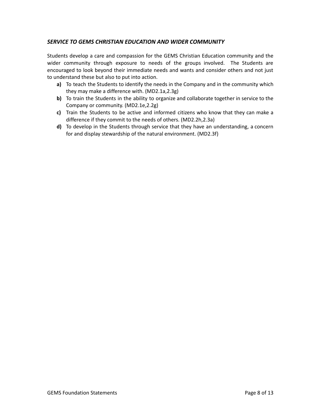# <span id="page-8-0"></span>*SERVICE TO GEMS CHRISTIAN EDUCATION AND WIDER COMMUNITY*

Students develop a care and compassion for the GEMS Christian Education community and the wider community through exposure to needs of the groups involved. The Students are encouraged to look beyond their immediate needs and wants and consider others and not just to understand these but also to put into action.

- **a)** To teach the Students to identify the needs in the Company and in the community which they may make a difference with. (MD2.1a,2.3g)
- **b)** To train the Students in the ability to organize and collaborate together in service to the Company or community. (MD2.1e,2.2g)
- **c)** Train the Students to be active and informed citizens who know that they can make a difference if they commit to the needs of others. (MD2.2h,2.3a)
- **d)** To develop in the Students through service that they have an understanding, a concern for and display stewardship of the natural environment. (MD2.3f)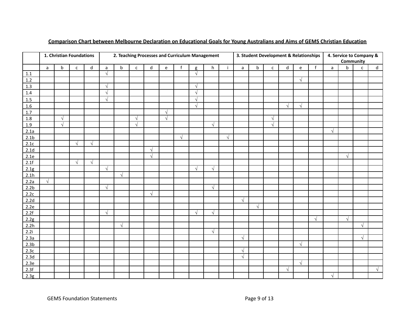<span id="page-9-0"></span>

|                  | 1. Christian Foundations |             |              |             | 2. Teaching Processes and Curriculum Management |            |              |              |           |            |            |            |              |              | 3. Student Development & Relationships |              |             |            |            |              | 4. Service to Company &<br>Community |              |              |  |
|------------------|--------------------------|-------------|--------------|-------------|-------------------------------------------------|------------|--------------|--------------|-----------|------------|------------|------------|--------------|--------------|----------------------------------------|--------------|-------------|------------|------------|--------------|--------------------------------------|--------------|--------------|--|
|                  | $\mathsf{a}$             | $\mathsf b$ | $\mathsf{C}$ | $\mathsf d$ | $\mathsf{a}$                                    | $\sf b$    | $\mathsf{C}$ | $\mathsf{d}$ | e         | f          | g          | h          | $\mathbf{i}$ | $\mathsf{a}$ | $\mathsf b$                            | $\mathsf{C}$ | $\mathsf d$ | e          | f          | $\mathsf{a}$ | $\sf b$                              | $\mathsf{C}$ | $\mathsf{d}$ |  |
| $1.1\,$          |                          |             |              |             | $\sqrt{ }$                                      |            |              |              |           |            | $\sqrt{}$  |            |              |              |                                        |              |             |            |            |              |                                      |              |              |  |
| $1.2\,$          |                          |             |              |             |                                                 |            |              |              |           |            |            |            |              |              |                                        |              |             | $\sqrt{ }$ |            |              |                                      |              |              |  |
| 1.3              |                          |             |              |             | $\sqrt{ }$                                      |            |              |              |           |            | $\sqrt{ }$ |            |              |              |                                        |              |             |            |            |              |                                      |              |              |  |
| $1.4\,$          |                          |             |              |             | $\sqrt{ }$                                      |            |              |              |           |            | $\sqrt{}$  |            |              |              |                                        |              |             |            |            |              |                                      |              |              |  |
| 1.5              |                          |             |              |             | $\sqrt{ }$                                      |            |              |              |           |            | $\sqrt{}$  |            |              |              |                                        |              |             |            |            |              |                                      |              |              |  |
| $1.6\,$          |                          |             |              |             |                                                 |            |              |              |           |            | $\sqrt{ }$ |            |              |              |                                        |              | $\sqrt{ }$  | $\sqrt{ }$ |            |              |                                      |              |              |  |
| $1.7\,$          |                          |             |              |             |                                                 |            |              |              |           |            |            |            |              |              |                                        |              |             |            |            |              |                                      |              |              |  |
| 1.8              |                          | $\sqrt{ }$  |              |             |                                                 |            | $\sqrt{ }$   |              | $\sqrt{}$ |            |            |            |              |              |                                        | $\sqrt{ }$   |             |            |            |              |                                      |              |              |  |
| $1.9\,$          |                          | $\sqrt{}$   |              |             |                                                 |            | $\sqrt{ }$   |              |           |            |            | $\sqrt{ }$ |              |              |                                        | $\sqrt{ }$   |             |            |            |              |                                      |              |              |  |
| 2.1a             |                          |             |              |             |                                                 |            |              |              |           |            |            |            |              |              |                                        |              |             |            |            | $\sqrt{ }$   |                                      |              |              |  |
| 2.1 <sub>b</sub> |                          |             |              |             |                                                 |            |              |              |           | $\sqrt{ }$ |            |            | $\sqrt{ }$   |              |                                        |              |             |            |            |              |                                      |              |              |  |
| 2.1c             |                          |             | $\sqrt{ }$   | $\sqrt{ }$  |                                                 |            |              |              |           |            |            |            |              |              |                                        |              |             |            |            |              |                                      |              |              |  |
| 2.1 <sub>d</sub> |                          |             |              |             |                                                 |            |              | $\sqrt{ }$   |           |            |            |            |              |              |                                        |              |             |            |            |              |                                      |              |              |  |
| 2.1e             |                          |             |              |             |                                                 |            |              | $\sqrt{ }$   |           |            |            |            |              |              |                                        |              |             |            |            |              | $\sqrt{ }$                           |              |              |  |
| 2.1f             |                          |             | $\sqrt{ }$   | $\sqrt{ }$  |                                                 |            |              |              |           |            |            |            |              |              |                                        |              |             |            |            |              |                                      |              |              |  |
| 2.1g             |                          |             |              |             | $\sqrt{ }$                                      |            |              |              |           |            | $\sqrt{ }$ | $\sqrt{ }$ |              |              |                                        |              |             |            |            |              |                                      |              |              |  |
| 2.1h             |                          |             |              |             |                                                 | $\sqrt{ }$ |              |              |           |            |            |            |              |              |                                        |              |             |            |            |              |                                      |              |              |  |
| 2.2a             | $\sqrt{ }$               |             |              |             |                                                 |            |              |              |           |            |            |            |              |              |                                        |              |             |            |            |              |                                      |              |              |  |
| 2.2 <sub>b</sub> |                          |             |              |             | $\sqrt{ }$                                      |            |              |              |           |            |            | $\sqrt{ }$ |              |              |                                        |              |             |            |            |              |                                      |              |              |  |
| 2.2c             |                          |             |              |             |                                                 |            |              | $\sqrt{ }$   |           |            |            |            |              |              |                                        |              |             |            |            |              |                                      |              |              |  |
| 2.2d             |                          |             |              |             |                                                 |            |              |              |           |            |            |            |              | $\sqrt{ }$   |                                        |              |             |            |            |              |                                      |              |              |  |
| 2.2e             |                          |             |              |             |                                                 |            |              |              |           |            |            |            |              |              | $\sqrt{ }$                             |              |             |            |            |              |                                      |              |              |  |
| 2.2f             |                          |             |              |             | $\sqrt{ }$                                      |            |              |              |           |            | $\sqrt{ }$ | $\sqrt{ }$ |              |              |                                        |              |             |            |            |              |                                      |              |              |  |
| 2.2g             |                          |             |              |             |                                                 |            |              |              |           |            |            |            |              |              |                                        |              |             |            | $\sqrt{ }$ |              | $\sqrt{}$                            |              |              |  |
| 2.2h             |                          |             |              |             |                                                 | $\sqrt{}$  |              |              |           |            |            |            |              |              |                                        |              |             |            |            |              |                                      | $\sqrt{ }$   |              |  |
| 2.2i             |                          |             |              |             |                                                 |            |              |              |           |            |            | $\sqrt{ }$ |              |              |                                        |              |             |            |            |              |                                      |              |              |  |
| 2.3a             |                          |             |              |             |                                                 |            |              |              |           |            |            |            |              | $\sqrt{ }$   |                                        |              |             |            |            |              |                                      | $\sqrt{ }$   |              |  |
| 2.3 <sub>b</sub> |                          |             |              |             |                                                 |            |              |              |           |            |            |            |              |              |                                        |              |             | $\sqrt{ }$ |            |              |                                      |              |              |  |
| 2.3c             |                          |             |              |             |                                                 |            |              |              |           |            |            |            |              | $\sqrt{ }$   |                                        |              |             |            |            |              |                                      |              |              |  |
| 2.3d             |                          |             |              |             |                                                 |            |              |              |           |            |            |            |              | $\sqrt{ }$   |                                        |              |             |            |            |              |                                      |              |              |  |
| 2.3e             |                          |             |              |             |                                                 |            |              |              |           |            |            |            |              |              |                                        |              |             | $\sqrt{ }$ |            |              |                                      |              |              |  |
| 2.3f             |                          |             |              |             |                                                 |            |              |              |           |            |            |            |              |              |                                        |              | $\sqrt{ }$  |            |            |              |                                      |              | $\sqrt{ }$   |  |
| 2.3g             |                          |             |              |             |                                                 |            |              |              |           |            |            |            |              |              |                                        |              |             |            |            | $\sqrt{}$    |                                      |              |              |  |

### Comparison Chart between Melbourne Declaration on Educational Goals for Young Australians and Aims of GEMS Christian Education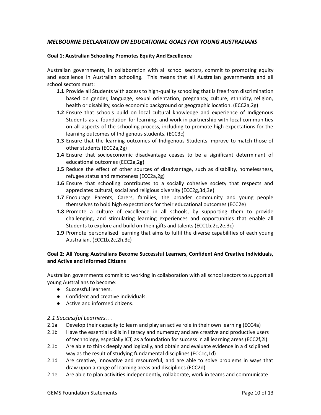# <span id="page-10-0"></span>*MELBOURNE DECLARATION ON EDUCATIONAL GOALS FOR YOUNG AUSTRALIANS*

#### <span id="page-10-1"></span>**Goal 1: Australian Schooling Promotes Equity And Excellence**

Australian governments, in collaboration with all school sectors, commit to promoting equity and excellence in Australian schooling. This means that all Australian governments and all school sectors must:

- **1.1** Provide all Students with access to high-quality schooling that is free from discrimination based on gender, language, sexual orientation, pregnancy, culture, ethnicity, religion, health or disability, socio economic background or geographic location. (ECC2a,2g)
- **1.2** Ensure that schools build on local cultural knowledge and experience of Indigenous Students as a foundation for learning, and work in partnership with local communities on all aspects of the schooling process, including to promote high expectations for the learning outcomes of Indigenous students. (ECC3c)
- **1.3** Ensure that the learning outcomes of Indigenous Students improve to match those of other students (ECC2a,2g)
- **1.4** Ensure that socioeconomic disadvantage ceases to be a significant determinant of educational outcomes (ECC2a,2g)
- **1.5** Reduce the effect of other sources of disadvantage, such as disability, homelessness, refugee status and remoteness (ECC2a,2g)
- **1.6** Ensure that schooling contributes to a socially cohesive society that respects and appreciates cultural, social and religious diversity (ECC2g,3d,3e)
- **1.7** Encourage Parents, Carers, families, the broader community and young people themselves to hold high expectations for their educational outcomes (ECC2e)
- **1.8** Promote a culture of excellence in all schools, by supporting them to provide challenging, and stimulating learning experiences and opportunities that enable all Students to explore and build on their gifts and talents (ECC1b,2c,2e,3c)
- **1.9** Promote personalised learning that aims to fulfil the diverse capabilities of each young Australian. (ECC1b,2c,2h,3c)

### <span id="page-10-2"></span>**Goal 2: All Young Australians Become Successful Learners, Confident And Creative Individuals, and Active and Informed Citizens**

Australian governments commit to working in collaboration with all school sectors to support all young Australians to become:

- Successful learners.
- Confident and creative individuals.
- Active and informed citizens.

#### <span id="page-10-3"></span>*2.1 Successful Learners…*

- 2.1a Develop their capacity to learn and play an active role in their own learning (ECC4a)
- 2.1b Have the essential skills in literacy and numeracy and are creative and productive users of technology, especially ICT, as a foundation for success in all learning areas (ECC2f,2i)
- 2.1c Are able to think deeply and logically, and obtain and evaluate evidence in a disciplined way as the result of studying fundamental disciplines (ECC1c,1d)
- 2.1d Are creative, innovative and resourceful, and are able to solve problems in ways that draw upon a range of learning areas and disciplines (ECC2d)
- 2.1e Are able to plan activities independently, collaborate, work in teams and communicate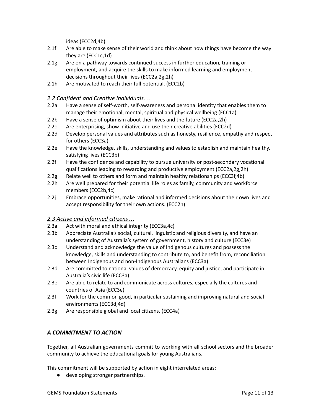ideas (ECC2d,4b)

- 2.1f Are able to make sense of their world and think about how things have become the way they are (ECC1c,1d)
- 2.1g Are on a pathway towards continued success in further education, training or employment, and acquire the skills to make informed learning and employment decisions throughout their lives (ECC2a,2g,2h)
- 2.1h Are motivated to reach their full potential. (ECC2b)

# <span id="page-11-0"></span>*2.2 Confident and Creative Individuals…*

- 2.2a Have a sense of self-worth, self-awareness and personal identity that enables them to manage their emotional, mental, spiritual and physical wellbeing (ECC1a)
- 2.2b Have a sense of optimism about their lives and the future (ECC2a,2h)
- 2.2c Are enterprising, show initiative and use their creative abilities (ECC2d)
- 2.2d Develop personal values and attributes such as honesty, resilience, empathy and respect for others (ECC3a)
- 2.2e Have the knowledge, skills, understanding and values to establish and maintain healthy, satisfying lives (ECC3b)
- 2.2f Have the confidence and capability to pursue university or post-secondary vocational qualifications leading to rewarding and productive employment (ECC2a,2g,2h)
- 2.2g Relate well to others and form and maintain healthy relationships (ECC3f,4b)
- 2.2h Are well prepared for their potential life roles as family, community and workforce members (ECC2b,4c)
- 2.2j Embrace opportunities, make rational and informed decisions about their own lives and accept responsibility for their own actions. (ECC2h)

# <span id="page-11-1"></span>*2.3 Active and informed citizens…*

- 2.3a Act with moral and ethical integrity (ECC3a,4c)
- 2.3b Appreciate Australia's social, cultural, linguistic and religious diversity, and have an understanding of Australia's system of government, history and culture (ECC3e)
- 2.3c Understand and acknowledge the value of Indigenous cultures and possess the knowledge, skills and understanding to contribute to, and benefit from, reconciliation between Indigenous and non-Indigenous Australians (ECC3a)
- 2.3d Are committed to national values of democracy, equity and justice, and participate in Australia's civic life (ECC3a)
- 2.3e Are able to relate to and communicate across cultures, especially the cultures and countries of Asia (ECC3e)
- 2.3f Work for the common good, in particular sustaining and improving natural and social environments (ECC3d,4d)
- 2.3g Are responsible global and local citizens. (ECC4a)

# <span id="page-11-2"></span>*A COMMITMENT TO ACTION*

Together, all Australian governments commit to working with all school sectors and the broader community to achieve the educational goals for young Australians.

This commitment will be supported by action in eight interrelated areas:

● developing stronger partnerships.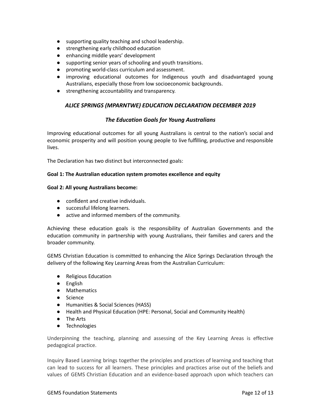- supporting quality teaching and school leadership.
- strengthening early childhood education
- enhancing middle years' development
- supporting senior years of schooling and youth transitions.
- promoting world-class curriculum and assessment.
- improving educational outcomes for Indigenous youth and disadvantaged young Australians, especially those from low socioeconomic backgrounds.
- <span id="page-12-0"></span>● strengthening accountability and transparency.

### *ALICE SPRINGS (MPARNTWE) EDUCATION DECLARATION DECEMBER 2019*

### *The Education Goals for Young Australians*

Improving educational outcomes for all young Australians is central to the nation's social and economic prosperity and will position young people to live fulfilling, productive and responsible lives.

The Declaration has two distinct but interconnected goals:

#### **Goal 1: The Australian education system promotes excellence and equity**

#### **Goal 2: All young Australians become:**

- confident and creative individuals.
- successful lifelong learners.
- active and informed members of the community.

Achieving these education goals is the responsibility of Australian Governments and the education community in partnership with young Australians, their families and carers and the broader community.

GEMS Christian Education is committed to enhancing the Alice Springs Declaration through the delivery of the following Key Learning Areas from the Australian Curriculum:

- Religious Education
- English
- Mathematics
- Science
- Humanities & Social Sciences (HASS)
- Health and Physical Education (HPE: Personal, Social and Community Health)
- The Arts
- Technologies

Underpinning the teaching, planning and assessing of the Key Learning Areas is effective pedagogical practice.

Inquiry Based Learning brings together the principles and practices of learning and teaching that can lead to success for all learners. These principles and practices arise out of the beliefs and values of GEMS Christian Education and an evidence-based approach upon which teachers can